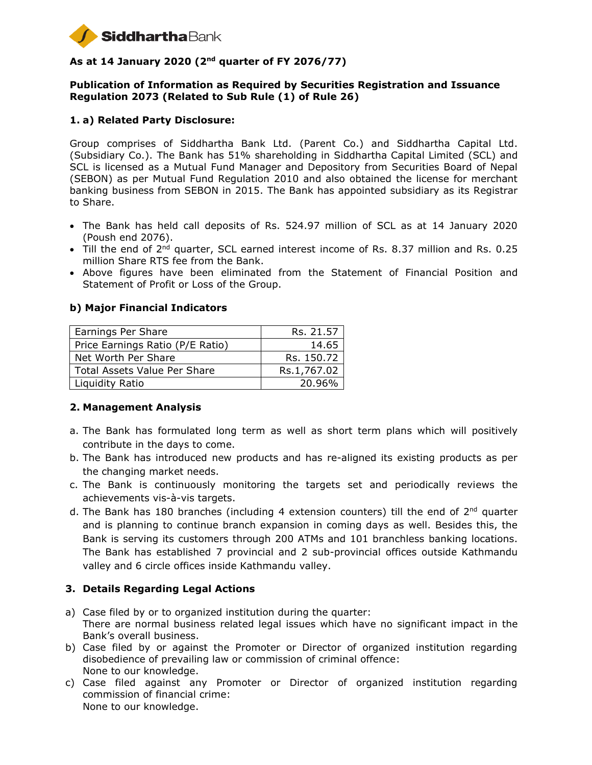

# **As at 14 January 2020 (2nd quarter of FY 2076/77)**

#### **Publication of Information as Required by Securities Registration and Issuance Regulation 2073 (Related to Sub Rule (1) of Rule 26)**

#### **1. a) Related Party Disclosure:**

Group comprises of Siddhartha Bank Ltd. (Parent Co.) and Siddhartha Capital Ltd. (Subsidiary Co.). The Bank has 51% shareholding in Siddhartha Capital Limited (SCL) and SCL is licensed as a Mutual Fund Manager and Depository from Securities Board of Nepal (SEBON) as per Mutual Fund Regulation 2010 and also obtained the license for merchant banking business from SEBON in 2015. The Bank has appointed subsidiary as its Registrar to Share.

- The Bank has held call deposits of Rs. 524.97 million of SCL as at 14 January 2020 (Poush end 2076).
- $\bullet$  Till the end of 2<sup>nd</sup> quarter, SCL earned interest income of Rs. 8.37 million and Rs. 0.25 million Share RTS fee from the Bank.
- Above figures have been eliminated from the Statement of Financial Position and Statement of Profit or Loss of the Group.

# Earnings Per Share Rs. 21.57 Price Earnings Ratio (P/E Ratio) | 14.65 Net Worth Per Share Res. 150.72 Total Assets Value Per Share The Rs.1,767.02 Liquidity Ratio 20.96%

# **b) Major Financial Indicators**

# **2. Management Analysis**

- a. The Bank has formulated long term as well as short term plans which will positively contribute in the days to come.
- b. The Bank has introduced new products and has re-aligned its existing products as per the changing market needs.
- c. The Bank is continuously monitoring the targets set and periodically reviews the achievements vis-à-vis targets.
- d. The Bank has 180 branches (including 4 extension counters) till the end of 2<sup>nd</sup> quarter and is planning to continue branch expansion in coming days as well. Besides this, the Bank is serving its customers through 200 ATMs and 101 branchless banking locations. The Bank has established 7 provincial and 2 sub-provincial offices outside Kathmandu valley and 6 circle offices inside Kathmandu valley.

# **3. Details Regarding Legal Actions**

- a) Case filed by or to organized institution during the quarter: There are normal business related legal issues which have no significant impact in the Bank's overall business.
- b) Case filed by or against the Promoter or Director of organized institution regarding disobedience of prevailing law or commission of criminal offence: None to our knowledge.
- c) Case filed against any Promoter or Director of organized institution regarding commission of financial crime: None to our knowledge.